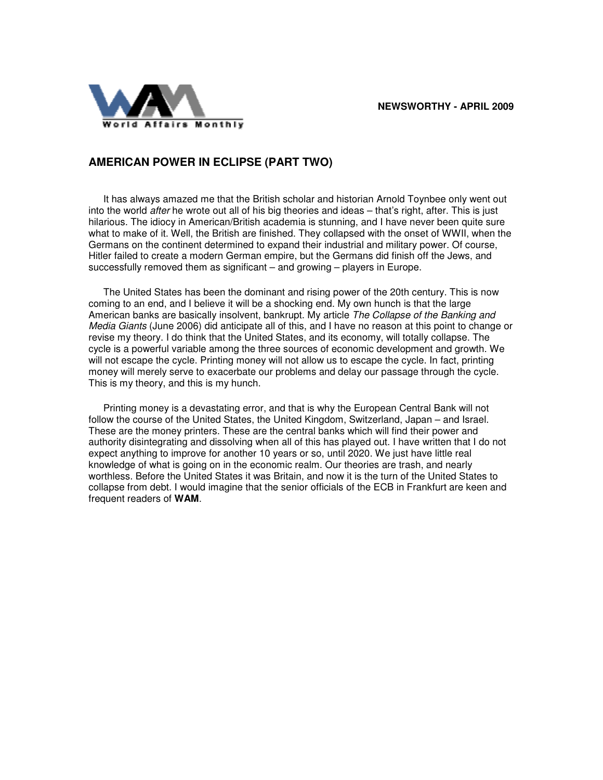**NEWSWORTHY - APRIL 2009**



## **AMERICAN POWER IN ECLIPSE (PART TWO)**

It has always amazed me that the British scholar and historian Arnold Toynbee only went out into the world *after* he wrote out all of his big theories and ideas – that's right, after. This is just hilarious. The idiocy in American/British academia is stunning, and I have never been quite sure what to make of it. Well, the British are finished. They collapsed with the onset of WWII, when the Germans on the continent determined to expand their industrial and military power. Of course, Hitler failed to create a modern German empire, but the Germans did finish off the Jews, and successfully removed them as significant – and growing – players in Europe.

The United States has been the dominant and rising power of the 20th century. This is now coming to an end, and I believe it will be a shocking end. My own hunch is that the large American banks are basically insolvent, bankrupt. My article The Collapse of the Banking and Media Giants (June 2006) did anticipate all of this, and I have no reason at this point to change or revise my theory. I do think that the United States, and its economy, will totally collapse. The cycle is a powerful variable among the three sources of economic development and growth. We will not escape the cycle. Printing money will not allow us to escape the cycle. In fact, printing money will merely serve to exacerbate our problems and delay our passage through the cycle. This is my theory, and this is my hunch.

Printing money is a devastating error, and that is why the European Central Bank will not follow the course of the United States, the United Kingdom, Switzerland, Japan – and Israel. These are the money printers. These are the central banks which will find their power and authority disintegrating and dissolving when all of this has played out. I have written that I do not expect anything to improve for another 10 years or so, until 2020. We just have little real knowledge of what is going on in the economic realm. Our theories are trash, and nearly worthless. Before the United States it was Britain, and now it is the turn of the United States to collapse from debt. I would imagine that the senior officials of the ECB in Frankfurt are keen and frequent readers of **WAM**.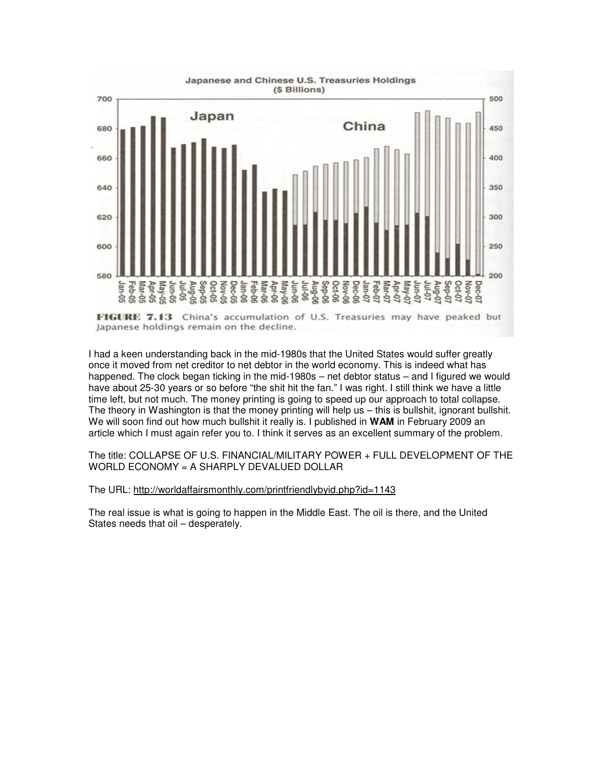

Japanese holdings remain on the decline.

I had a keen understanding back in the mid-1980s that the United States would suffer greatly once it moved from net creditor to net debtor in the world economy. This is indeed what has happened. The clock began ticking in the mid-1980s – net debtor status – and I figured we would have about 25-30 years or so before "the shit hit the fan." I was right. I still think we have a little time left, but not much. The money printing is going to speed up our approach to total collapse. The theory in Washington is that the money printing will help us – this is bullshit, ignorant bullshit. We will soon find out how much bullshit it really is. I published in **WAM** in February 2009 an article which I must again refer you to. I think it serves as an excellent summary of the problem.

The title: COLLAPSE OF U.S. FINANCIAL/MILITARY POWER + FULL DEVELOPMENT OF THE WORLD ECONOMY = A SHARPLY DEVALUED DOLLAR

## The URL: http://worldaffairsmonthly.com/printfriendlybyid.php?id=1143

The real issue is what is going to happen in the Middle East. The oil is there, and the United States needs that oil – desperately.